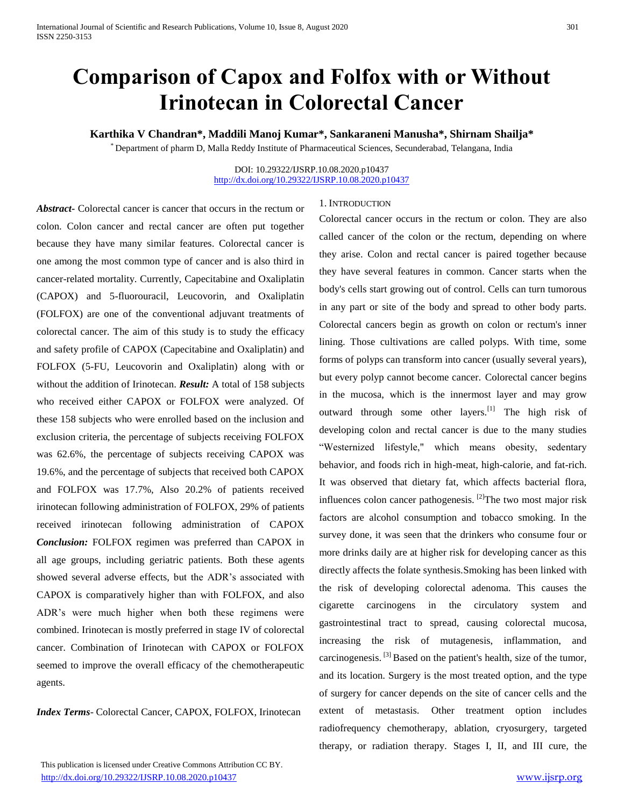# **Comparison of Capox and Folfox with or Without Irinotecan in Colorectal Cancer**

# **Karthika V Chandran\*, Maddili Manoj Kumar\*, Sankaraneni Manusha\*, Shirnam Shailja\***

\* Department of pharm D, Malla Reddy Institute of Pharmaceutical Sciences, Secunderabad, Telangana, India

#### DOI: 10.29322/IJSRP.10.08.2020.p10437 <http://dx.doi.org/10.29322/IJSRP.10.08.2020.p10437>

*Abstract***-** Colorectal cancer is cancer that occurs in the rectum or colon. Colon cancer and rectal cancer are often put together because they have many similar features. Colorectal cancer is one among the most common type of cancer and is also third in cancer-related mortality. Currently, Capecitabine and Oxaliplatin (CAPOX) and 5-fluorouracil, Leucovorin, and Oxaliplatin (FOLFOX) are one of the conventional adjuvant treatments of colorectal cancer. The aim of this study is to study the efficacy and safety profile of CAPOX (Capecitabine and Oxaliplatin) and FOLFOX (5-FU, Leucovorin and Oxaliplatin) along with or without the addition of Irinotecan. *Result:* A total of 158 subjects who received either CAPOX or FOLFOX were analyzed. Of these 158 subjects who were enrolled based on the inclusion and exclusion criteria, the percentage of subjects receiving FOLFOX was 62.6%, the percentage of subjects receiving CAPOX was 19.6%, and the percentage of subjects that received both CAPOX and FOLFOX was 17.7%, Also 20.2% of patients received irinotecan following administration of FOLFOX, 29% of patients received irinotecan following administration of CAPOX *Conclusion:* FOLFOX regimen was preferred than CAPOX in all age groups, including geriatric patients. Both these agents showed several adverse effects, but the ADR's associated with CAPOX is comparatively higher than with FOLFOX, and also ADR's were much higher when both these regimens were combined. Irinotecan is mostly preferred in stage IV of colorectal cancer. Combination of Irinotecan with CAPOX or FOLFOX seemed to improve the overall efficacy of the chemotherapeutic agents.

*Index Terms*- Colorectal Cancer, CAPOX, FOLFOX, Irinotecan

## 1. INTRODUCTION

Colorectal cancer occurs in the rectum or colon. They are also called cancer of the colon or the rectum, depending on where they arise. Colon and rectal cancer is paired together because they have several features in common. Cancer starts when the body's cells start growing out of control. Cells can turn tumorous in any part or site of the body and spread to other body parts. Colorectal cancers begin as growth on colon or rectum's inner lining. Those cultivations are called polyps. With time, some forms of polyps can transform into cancer (usually several years), but every polyp cannot become cancer. Colorectal cancer begins in the mucosa, which is the innermost layer and may grow outward through some other layers.<sup>[1]</sup> The high risk of developing colon and rectal cancer is due to the many studies "Westernized lifestyle," which means obesity, sedentary behavior, and foods rich in high-meat, high-calorie, and fat-rich. It was observed that dietary fat, which affects bacterial flora, influences colon cancer pathogenesis.  $[2]$ The two most major risk factors are alcohol consumption and tobacco smoking. In the survey done, it was seen that the drinkers who consume four or more drinks daily are at higher risk for developing cancer as this directly affects the folate synthesis.Smoking has been linked with the risk of developing colorectal adenoma. This causes the cigarette carcinogens in the circulatory system and gastrointestinal tract to spread, causing colorectal mucosa, increasing the risk of mutagenesis, inflammation, and carcinogenesis. [3] Based on the patient's health, size of the tumor, and its location. Surgery is the most treated option, and the type of surgery for cancer depends on the site of cancer cells and the extent of metastasis. Other treatment option includes radiofrequency chemotherapy, ablation, cryosurgery, targeted therapy, or radiation therapy. Stages I, II, and III cure, the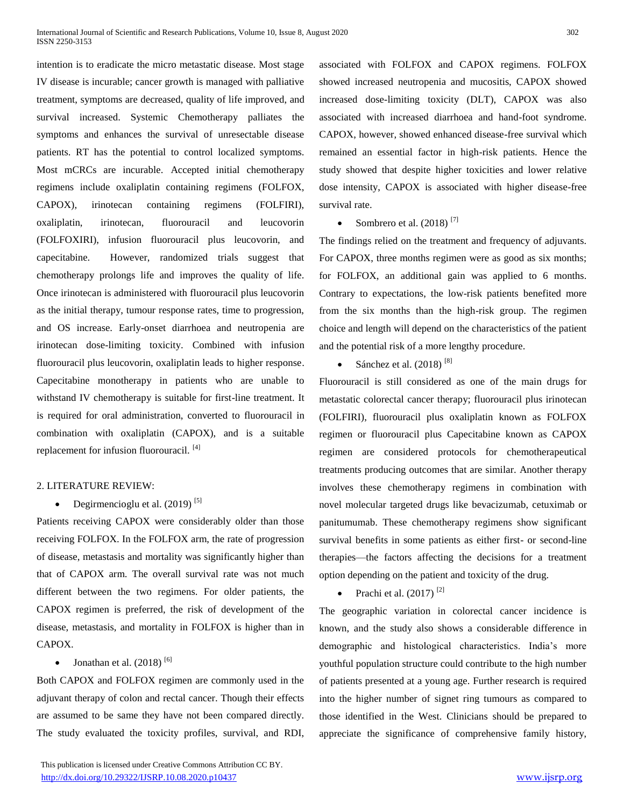intention is to eradicate the micro metastatic disease. Most stage IV disease is incurable; cancer growth is managed with palliative treatment, symptoms are decreased, quality of life improved, and survival increased. Systemic Chemotherapy palliates the symptoms and enhances the survival of unresectable disease patients. RT has the potential to control localized symptoms. Most mCRCs are incurable. Accepted initial chemotherapy regimens include oxaliplatin containing regimens (FOLFOX, CAPOX), irinotecan containing regimens (FOLFIRI), oxaliplatin, irinotecan, fluorouracil and leucovorin (FOLFOXIRI), infusion fluorouracil plus leucovorin, and capecitabine. However, randomized trials suggest that chemotherapy prolongs life and improves the quality of life. Once irinotecan is administered with fluorouracil plus leucovorin as the initial therapy, tumour response rates, time to progression, and OS increase. Early-onset diarrhoea and neutropenia are irinotecan dose-limiting toxicity. Combined with infusion fluorouracil plus leucovorin, oxaliplatin leads to higher response. Capecitabine monotherapy in patients who are unable to withstand IV chemotherapy is suitable for first-line treatment. It is required for oral administration, converted to fluorouracil in combination with oxaliplatin (CAPOX), and is a suitable replacement for infusion fluorouracil. <sup>[4]</sup>

## 2. LITERATURE REVIEW:

# • Degirmencioglu et al.  $(2019)$ <sup>[5]</sup>

Patients receiving CAPOX were considerably older than those receiving FOLFOX. In the FOLFOX arm, the rate of progression of disease, metastasis and mortality was significantly higher than that of CAPOX arm. The overall survival rate was not much different between the two regimens. For older patients, the CAPOX regimen is preferred, the risk of development of the disease, metastasis, and mortality in FOLFOX is higher than in CAPOX.

# • Jonathan et al.  $(2018)$ <sup>[6]</sup>

Both CAPOX and FOLFOX regimen are commonly used in the adjuvant therapy of colon and rectal cancer. Though their effects are assumed to be same they have not been compared directly. The study evaluated the toxicity profiles, survival, and RDI,

associated with FOLFOX and CAPOX regimens. FOLFOX showed increased neutropenia and mucositis, CAPOX showed increased dose-limiting toxicity (DLT), CAPOX was also associated with increased diarrhoea and hand-foot syndrome. CAPOX, however, showed enhanced disease-free survival which remained an essential factor in high-risk patients. Hence the study showed that despite higher toxicities and lower relative dose intensity, CAPOX is associated with higher disease-free survival rate.

# Sombrero et al.  $(2018)$ <sup>[7]</sup>

The findings relied on the treatment and frequency of adjuvants. For CAPOX, three months regimen were as good as six months; for FOLFOX, an additional gain was applied to 6 months. Contrary to expectations, the low-risk patients benefited more from the six months than the high-risk group. The regimen choice and length will depend on the characteristics of the patient and the potential risk of a more lengthy procedure.

Sánchez et al. (2018)<sup>[8]</sup>

Fluorouracil is still considered as one of the main drugs for metastatic colorectal cancer therapy; fluorouracil plus irinotecan (FOLFIRI), fluorouracil plus oxaliplatin known as FOLFOX regimen or fluorouracil plus Capecitabine known as CAPOX regimen are considered protocols for chemotherapeutical treatments producing outcomes that are similar. Another therapy involves these chemotherapy regimens in combination with novel molecular targeted drugs like bevacizumab, cetuximab or panitumumab. These chemotherapy regimens show significant survival benefits in some patients as either first- or second-line therapies—the factors affecting the decisions for a treatment option depending on the patient and toxicity of the drug.

Prachi et al.  $(2017)$ <sup>[2]</sup>

The geographic variation in colorectal cancer incidence is known, and the study also shows a considerable difference in demographic and histological characteristics. India's more youthful population structure could contribute to the high number of patients presented at a young age. Further research is required into the higher number of signet ring tumours as compared to those identified in the West. Clinicians should be prepared to appreciate the significance of comprehensive family history,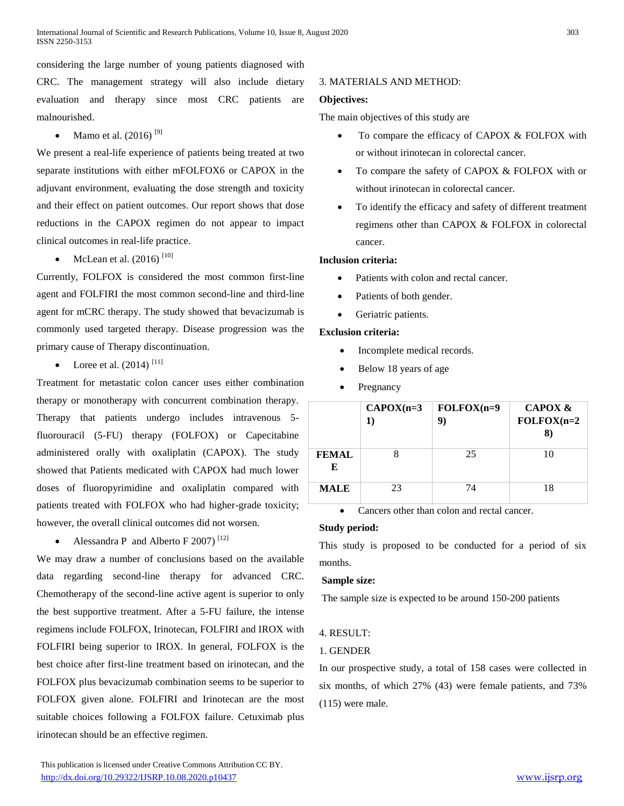considering the large number of young patients diagnosed with CRC. The management strategy will also include dietary evaluation and therapy since most CRC patients are malnourished.

Mamo et al. (2016)<sup>[9]</sup>

We present a real-life experience of patients being treated at two separate institutions with either mFOLFOX6 or CAPOX in the adjuvant environment, evaluating the dose strength and toxicity and their effect on patient outcomes. Our report shows that dose reductions in the CAPOX regimen do not appear to impact clinical outcomes in real-life practice.

• McLean et al.  $(2016)$ <sup>[10]</sup>

Currently, FOLFOX is considered the most common first-line agent and FOLFIRI the most common second-line and third-line agent for mCRC therapy. The study showed that bevacizumab is commonly used targeted therapy. Disease progression was the primary cause of Therapy discontinuation.

• Loree et al.  $(2014)$ <sup>[11]</sup>

Treatment for metastatic colon cancer uses either combination therapy or monotherapy with concurrent combination therapy. Therapy that patients undergo includes intravenous 5 fluorouracil (5-FU) therapy (FOLFOX) or Capecitabine administered orally with oxaliplatin (CAPOX). The study showed that Patients medicated with CAPOX had much lower doses of fluoropyrimidine and oxaliplatin compared with patients treated with FOLFOX who had higher-grade toxicity; however, the overall clinical outcomes did not worsen.

Alessandra P and Alberto F 2007)<sup>[12]</sup>

We may draw a number of conclusions based on the available data regarding second-line therapy for advanced CRC. Chemotherapy of the second-line active agent is superior to only the best supportive treatment. After a 5-FU failure, the intense regimens include FOLFOX, Irinotecan, FOLFIRI and IROX with FOLFIRI being superior to IROX. In general, FOLFOX is the best choice after first-line treatment based on irinotecan, and the FOLFOX plus bevacizumab combination seems to be superior to FOLFOX given alone. FOLFIRI and Irinotecan are the most suitable choices following a FOLFOX failure. Cetuximab plus irinotecan should be an effective regimen.

# **Objectives:** The main objectives of this study are

- To compare the efficacy of CAPOX & FOLFOX with or without irinotecan in colorectal cancer.
- To compare the safety of CAPOX & FOLFOX with or without irinotecan in colorectal cancer.
- To identify the efficacy and safety of different treatment regimens other than CAPOX & FOLFOX in colorectal cancer.

## **Inclusion criteria:**

- Patients with colon and rectal cancer.
- Patients of both gender.

3. MATERIALS AND METHOD:

Geriatric patients.

## **Exclusion criteria:**

- Incomplete medical records.
- Below 18 years of age
- Pregnancy

|                   | $CAPOX(n=3)$<br>1) | $FOLFOX(n=9)$<br>9) | <b>CAPOX &amp;</b><br>$FOLFOX(n=2)$<br>8) |
|-------------------|--------------------|---------------------|-------------------------------------------|
| <b>FEMAL</b><br>Е |                    | 25                  | 10                                        |
| <b>MALE</b>       | 23                 | 74                  | 18                                        |

Cancers other than colon and rectal cancer.

## **Study period:**

This study is proposed to be conducted for a period of six months.

## **Sample size:**

The sample size is expected to be around 150-200 patients

## 4. RESULT:

## 1. GENDER

In our prospective study, a total of 158 cases were collected in six months, of which 27% (43) were female patients, and 73% (115) were male.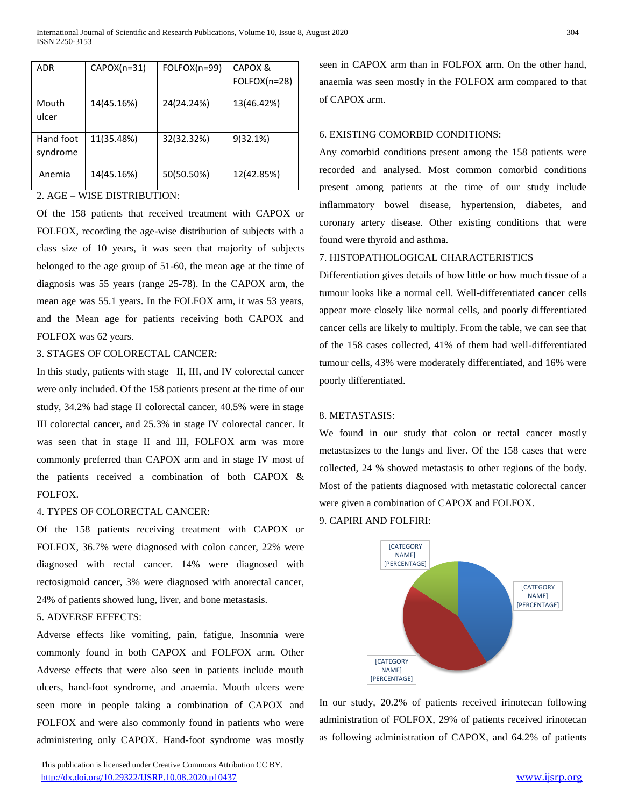| ADR                   | $CAPOX(n=31)$ | FOLFOX(n=99) | CAPOX &<br>FOLFOX(n=28) |
|-----------------------|---------------|--------------|-------------------------|
| Mouth<br>ulcer        | 14(45.16%)    | 24(24.24%)   | 13(46.42%)              |
| Hand foot<br>syndrome | 11(35.48%)    | 32(32.32%)   | 9(32.1%)                |
| Anemia                | 14(45.16%)    | 50(50.50%)   | 12(42.85%)              |

# 2. AGE – WISE DISTRIBUTION:

Of the 158 patients that received treatment with CAPOX or FOLFOX, recording the age-wise distribution of subjects with a class size of 10 years, it was seen that majority of subjects belonged to the age group of 51-60, the mean age at the time of diagnosis was 55 years (range 25-78). In the CAPOX arm, the mean age was 55.1 years. In the FOLFOX arm, it was 53 years, and the Mean age for patients receiving both CAPOX and FOLFOX was 62 years.

# 3. STAGES OF COLORECTAL CANCER:

In this study, patients with stage –II, III, and IV colorectal cancer were only included. Of the 158 patients present at the time of our study, 34.2% had stage II colorectal cancer, 40.5% were in stage III colorectal cancer, and 25.3% in stage IV colorectal cancer. It was seen that in stage II and III, FOLFOX arm was more commonly preferred than CAPOX arm and in stage IV most of the patients received a combination of both CAPOX & FOLFOX.

## 4. TYPES OF COLORECTAL CANCER:

Of the 158 patients receiving treatment with CAPOX or FOLFOX, 36.7% were diagnosed with colon cancer, 22% were diagnosed with rectal cancer. 14% were diagnosed with rectosigmoid cancer, 3% were diagnosed with anorectal cancer, 24% of patients showed lung, liver, and bone metastasis.

# 5. ADVERSE EFFECTS:

Adverse effects like vomiting, pain, fatigue, Insomnia were commonly found in both CAPOX and FOLFOX arm. Other Adverse effects that were also seen in patients include mouth ulcers, hand-foot syndrome, and anaemia. Mouth ulcers were seen more in people taking a combination of CAPOX and FOLFOX and were also commonly found in patients who were administering only CAPOX. Hand-foot syndrome was mostly

 This publication is licensed under Creative Commons Attribution CC BY. <http://dx.doi.org/10.29322/IJSRP.10.08.2020.p10437> [www.ijsrp.org](http://ijsrp.org/)

seen in CAPOX arm than in FOLFOX arm. On the other hand, anaemia was seen mostly in the FOLFOX arm compared to that of CAPOX arm.

#### 6. EXISTING COMORBID CONDITIONS:

Any comorbid conditions present among the 158 patients were recorded and analysed. Most common comorbid conditions present among patients at the time of our study include inflammatory bowel disease, hypertension, diabetes, and coronary artery disease. Other existing conditions that were found were thyroid and asthma.

## 7. HISTOPATHOLOGICAL CHARACTERISTICS

Differentiation gives details of how little or how much tissue of a tumour looks like a normal cell. Well-differentiated cancer cells appear more closely like normal cells, and poorly differentiated cancer cells are likely to multiply. From the table, we can see that of the 158 cases collected, 41% of them had well-differentiated tumour cells, 43% were moderately differentiated, and 16% were poorly differentiated.

#### 8. METASTASIS:

We found in our study that colon or rectal cancer mostly metastasizes to the lungs and liver. Of the 158 cases that were collected, 24 % showed metastasis to other regions of the body. Most of the patients diagnosed with metastatic colorectal cancer were given a combination of CAPOX and FOLFOX.

#### 9. CAPIRI AND FOLFIRI:



In our study, 20.2% of patients received irinotecan following administration of FOLFOX, 29% of patients received irinotecan as following administration of CAPOX, and 64.2% of patients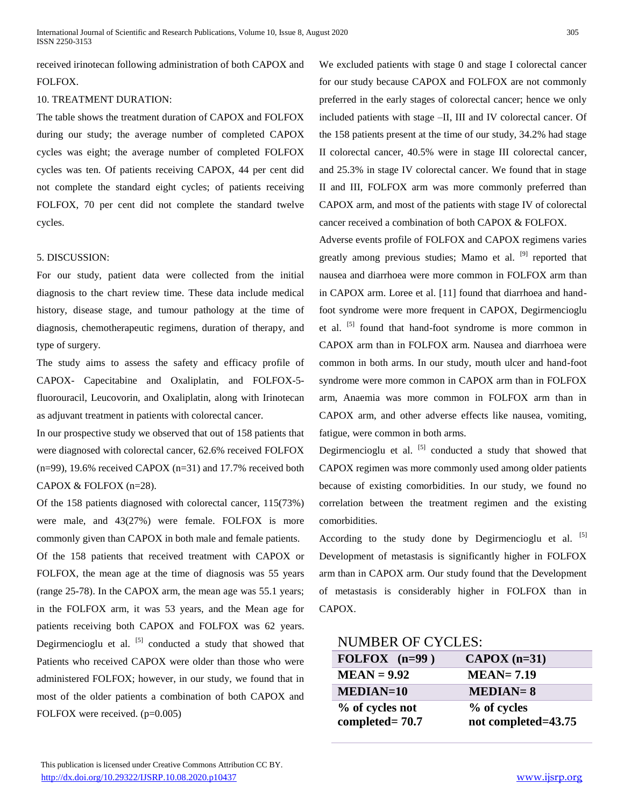received irinotecan following administration of both CAPOX and FOLFOX.

#### 10. TREATMENT DURATION:

The table shows the treatment duration of CAPOX and FOLFOX during our study; the average number of completed CAPOX cycles was eight; the average number of completed FOLFOX cycles was ten. Of patients receiving CAPOX, 44 per cent did not complete the standard eight cycles; of patients receiving FOLFOX, 70 per cent did not complete the standard twelve cycles.

## 5. DISCUSSION:

For our study, patient data were collected from the initial diagnosis to the chart review time. These data include medical history, disease stage, and tumour pathology at the time of diagnosis, chemotherapeutic regimens, duration of therapy, and type of surgery.

The study aims to assess the safety and efficacy profile of CAPOX- Capecitabine and Oxaliplatin, and FOLFOX-5 fluorouracil, Leucovorin, and Oxaliplatin, along with Irinotecan as adjuvant treatment in patients with colorectal cancer.

In our prospective study we observed that out of 158 patients that were diagnosed with colorectal cancer, 62.6% received FOLFOX  $(n=99)$ , 19.6% received CAPOX  $(n=31)$  and 17.7% received both CAPOX & FOLFOX (n=28).

Of the 158 patients diagnosed with colorectal cancer, 115(73%) were male, and 43(27%) were female. FOLFOX is more commonly given than CAPOX in both male and female patients. Of the 158 patients that received treatment with CAPOX or FOLFOX, the mean age at the time of diagnosis was 55 years (range 25-78). In the CAPOX arm, the mean age was 55.1 years; in the FOLFOX arm, it was 53 years, and the Mean age for patients receiving both CAPOX and FOLFOX was 62 years. Degirmencioglu et al.  $\left[5\right]$  conducted a study that showed that Patients who received CAPOX were older than those who were administered FOLFOX; however, in our study, we found that in most of the older patients a combination of both CAPOX and FOLFOX were received. (p=0.005)

We excluded patients with stage 0 and stage I colorectal cancer for our study because CAPOX and FOLFOX are not commonly preferred in the early stages of colorectal cancer; hence we only included patients with stage –II, III and IV colorectal cancer. Of the 158 patients present at the time of our study, 34.2% had stage II colorectal cancer, 40.5% were in stage III colorectal cancer, and 25.3% in stage IV colorectal cancer. We found that in stage II and III, FOLFOX arm was more commonly preferred than CAPOX arm, and most of the patients with stage IV of colorectal cancer received a combination of both CAPOX & FOLFOX.

Adverse events profile of FOLFOX and CAPOX regimens varies greatly among previous studies; Mamo et al. <sup>[9]</sup> reported that nausea and diarrhoea were more common in FOLFOX arm than in CAPOX arm. Loree et al. [11] found that diarrhoea and handfoot syndrome were more frequent in CAPOX, Degirmencioglu et al. <sup>[5]</sup> found that hand-foot syndrome is more common in CAPOX arm than in FOLFOX arm. Nausea and diarrhoea were common in both arms. In our study, mouth ulcer and hand-foot syndrome were more common in CAPOX arm than in FOLFOX arm, Anaemia was more common in FOLFOX arm than in CAPOX arm, and other adverse effects like nausea, vomiting, fatigue, were common in both arms.

Degirmencioglu et al.  $\left[5\right]$  conducted a study that showed that CAPOX regimen was more commonly used among older patients because of existing comorbidities. In our study, we found no correlation between the treatment regimen and the existing comorbidities.

According to the study done by Degirmencioglu et al.  $[5]$ Development of metastasis is significantly higher in FOLFOX arm than in CAPOX arm. Our study found that the Development of metastasis is considerably higher in FOLFOX than in CAPOX.

# NUMBER OF CYCLES:

| FOLFOX $(n=99)$   | $CAPOX$ (n=31)      |  |
|-------------------|---------------------|--|
| $MEAN = 9.92$     | $MEAN = 7.19$       |  |
| <b>MEDIAN=10</b>  | $MEDIAN=8$          |  |
| % of cycles not   | % of cycles         |  |
| completed= $70.7$ | not completed=43.75 |  |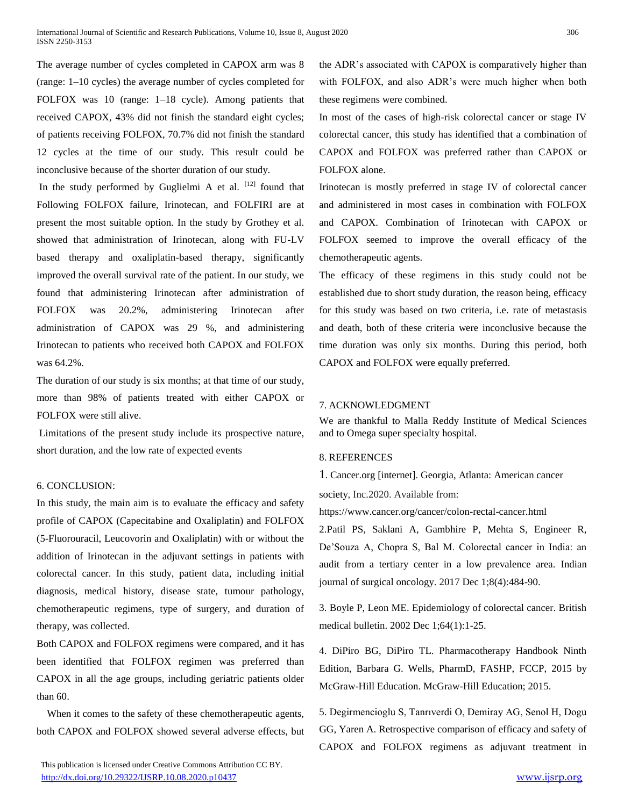The average number of cycles completed in CAPOX arm was 8 (range: 1–10 cycles) the average number of cycles completed for FOLFOX was 10 (range: 1–18 cycle). Among patients that received CAPOX, 43% did not finish the standard eight cycles; of patients receiving FOLFOX, 70.7% did not finish the standard 12 cycles at the time of our study. This result could be inconclusive because of the shorter duration of our study.

In the study performed by Guglielmi A et al.  $[12]$  found that Following FOLFOX failure, Irinotecan, and FOLFIRI are at present the most suitable option. In the study by Grothey et al. showed that administration of Irinotecan, along with FU-LV based therapy and oxaliplatin-based therapy, significantly improved the overall survival rate of the patient. In our study, we found that administering Irinotecan after administration of FOLFOX was 20.2%, administering Irinotecan after administration of CAPOX was 29 %, and administering Irinotecan to patients who received both CAPOX and FOLFOX was 64.2%.

The duration of our study is six months; at that time of our study, more than 98% of patients treated with either CAPOX or FOLFOX were still alive.

Limitations of the present study include its prospective nature, short duration, and the low rate of expected events

#### 6. CONCLUSION:

In this study, the main aim is to evaluate the efficacy and safety profile of CAPOX (Capecitabine and Oxaliplatin) and FOLFOX (5-Fluorouracil, Leucovorin and Oxaliplatin) with or without the addition of Irinotecan in the adjuvant settings in patients with colorectal cancer. In this study, patient data, including initial diagnosis, medical history, disease state, tumour pathology, chemotherapeutic regimens, type of surgery, and duration of therapy, was collected.

Both CAPOX and FOLFOX regimens were compared, and it has been identified that FOLFOX regimen was preferred than CAPOX in all the age groups, including geriatric patients older than 60.

When it comes to the safety of these chemotherapeutic agents, both CAPOX and FOLFOX showed several adverse effects, but

 This publication is licensed under Creative Commons Attribution CC BY. <http://dx.doi.org/10.29322/IJSRP.10.08.2020.p10437> [www.ijsrp.org](http://ijsrp.org/)

the ADR's associated with CAPOX is comparatively higher than with FOLFOX, and also ADR's were much higher when both these regimens were combined.

In most of the cases of high-risk colorectal cancer or stage IV colorectal cancer, this study has identified that a combination of CAPOX and FOLFOX was preferred rather than CAPOX or FOLFOX alone.

Irinotecan is mostly preferred in stage IV of colorectal cancer and administered in most cases in combination with FOLFOX and CAPOX. Combination of Irinotecan with CAPOX or FOLFOX seemed to improve the overall efficacy of the chemotherapeutic agents.

The efficacy of these regimens in this study could not be established due to short study duration, the reason being, efficacy for this study was based on two criteria, i.e. rate of metastasis and death, both of these criteria were inconclusive because the time duration was only six months. During this period, both CAPOX and FOLFOX were equally preferred.

#### 7. ACKNOWLEDGMENT

We are thankful to Malla Reddy Institute of Medical Sciences and to Omega super specialty hospital.

## 8. REFERENCES

1. Cancer.org [internet]. Georgia, Atlanta: American cancer society, Inc.2020. Available from:

https://www.cancer.org/cancer/colon-rectal-cancer.html

2.Patil PS, Saklani A, Gambhire P, Mehta S, Engineer R, De'Souza A, Chopra S, Bal M. Colorectal cancer in India: an audit from a tertiary center in a low prevalence area. Indian journal of surgical oncology. 2017 Dec 1;8(4):484-90.

3. Boyle P, Leon ME. Epidemiology of colorectal cancer. British medical bulletin. 2002 Dec 1;64(1):1-25.

4. DiPiro BG, DiPiro TL. Pharmacotherapy Handbook Ninth Edition, Barbara G. Wells, PharmD, FASHP, FCCP, 2015 by McGraw-Hill Education. McGraw-Hill Education; 2015.

5. Degirmencioglu S, Tanrıverdi O, Demiray AG, Senol H, Dogu GG, Yaren A. Retrospective comparison of efficacy and safety of CAPOX and FOLFOX regimens as adjuvant treatment in